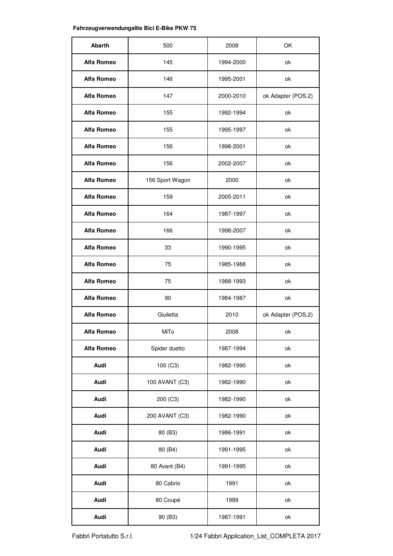## **Fahrzeugverwendungslite Bici E-Bike PKW 75**

| Abarth     | 500             | 2008      | OK                 |
|------------|-----------------|-----------|--------------------|
| Alfa Romeo | 145             | 1994-2000 | ok                 |
| Alfa Romeo | 146             | 1995-2001 | ok                 |
| Alfa Romeo | 147             | 2000-2010 | ok Adapter (POS.2) |
| Alfa Romeo | 155             | 1992-1994 | ok                 |
| Alfa Romeo | 155             | 1995-1997 | ok                 |
| Alfa Romeo | 156             | 1998-2001 | ok                 |
| Alfa Romeo | 156             | 2002-2007 | ok                 |
| Alfa Romeo | 156 Sport Wagon | 2000      | ok                 |
| Alfa Romeo | 159             | 2005-2011 | ok                 |
| Alfa Romeo | 164             | 1987-1997 | ok                 |
| Alfa Romeo | 166             | 1998-2007 | ok                 |
| Alfa Romeo | 33              | 1990-1995 | ok                 |
| Alfa Romeo | 75              | 1985-1988 | ok                 |
| Alfa Romeo | 75              | 1988-1993 | ok                 |
| Alfa Romeo | 90              | 1984-1987 | ok                 |
| Alfa Romeo | Giulietta       | 2010      | ok Adapter (POS.2) |
| Alfa Romeo | MiTo            | 2008      | ok                 |
| Alfa Romeo | Spider duetto   | 1987-1994 | ok                 |
| Audi       | 100 (C3)        | 1982-1990 | ok                 |
| Audi       | 100 AVANT (C3)  | 1982-1990 | ok                 |
| Audi       | 200 (C3)        | 1982-1990 | ok                 |
| Audi       | 200 AVANT (C3)  | 1982-1990 | ok                 |
| Audi       | 80 (B3)         | 1986-1991 | ok                 |
| Audi       | 80 (B4)         | 1991-1995 | ok                 |
| Audi       | 80 Avant (B4)   | 1991-1995 | ok                 |
| Audi       | 80 Cabrio       | 1991      | ok                 |
| Audi       | 80 Coupé        | 1989      | ok                 |
| Audi       | 90 (B3)         | 1987-1991 | ok                 |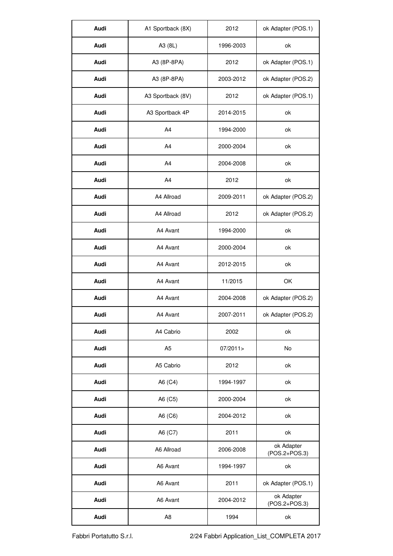| Audi | A1 Sportback (8X) | 2012      | ok Adapter (POS.1)          |
|------|-------------------|-----------|-----------------------------|
| Audi | A3 (8L)           | 1996-2003 | ok                          |
| Audi | A3 (8P-8PA)       | 2012      | ok Adapter (POS.1)          |
| Audi | A3 (8P-8PA)       | 2003-2012 | ok Adapter (POS.2)          |
| Audi | A3 Sportback (8V) | 2012      | ok Adapter (POS.1)          |
| Audi | A3 Sportback 4P   | 2014-2015 | ok                          |
| Audi | A <sub>4</sub>    | 1994-2000 | ok                          |
| Audi | A <sub>4</sub>    | 2000-2004 | ok                          |
| Audi | A <sub>4</sub>    | 2004-2008 | ok                          |
| Audi | A <sub>4</sub>    | 2012      | ok                          |
| Audi | A4 Allroad        | 2009-2011 | ok Adapter (POS.2)          |
| Audi | A4 Allroad        | 2012      | ok Adapter (POS.2)          |
| Audi | A4 Avant          | 1994-2000 | ok                          |
| Audi | A4 Avant          | 2000-2004 | ok                          |
| Audi | A4 Avant          | 2012-2015 | ok                          |
| Audi | A4 Avant          | 11/2015   | OK                          |
| Audi | A4 Avant          | 2004-2008 | ok Adapter (POS.2)          |
| Audi | A4 Avant          | 2007-2011 | ok Adapter (POS.2)          |
| Audi | A4 Cabrio         | 2002      | ok                          |
| Audi | A <sub>5</sub>    | 07/2011>  | No                          |
| Audi | A5 Cabrio         | 2012      | ok                          |
| Audi | A6 (C4)           | 1994-1997 | ok                          |
| Audi | A6 (C5)           | 2000-2004 | ok                          |
| Audi | A6 (C6)           | 2004-2012 | ok                          |
| Audi | A6 (C7)           | 2011      | ok                          |
| Audi | A6 Allroad        | 2006-2008 | ok Adapter<br>(POS.2+POS.3) |
| Audi | A6 Avant          | 1994-1997 | ok                          |
| Audi | A6 Avant          | 2011      | ok Adapter (POS.1)          |
| Audi | A6 Avant          | 2004-2012 | ok Adapter<br>(POS.2+POS.3) |
| Audi | A <sub>8</sub>    | 1994      | ok                          |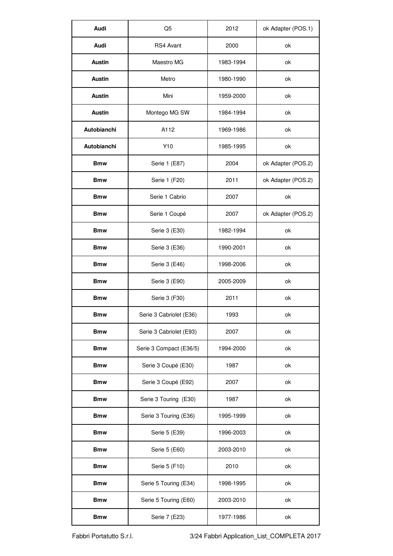| Audi          | Q <sub>5</sub>          | 2012      | ok Adapter (POS.1) |
|---------------|-------------------------|-----------|--------------------|
| Audi          | RS4 Avant               | 2000      | ok                 |
| <b>Austin</b> | Maestro MG              | 1983-1994 | ok                 |
| Austin        | Metro                   | 1980-1990 | ok                 |
| Austin        | Mini                    | 1959-2000 | ok                 |
| Austin        | Montego MG SW           | 1984-1994 | ok                 |
| Autobianchi   | A112                    | 1969-1986 | ok                 |
| Autobianchi   | Y10                     | 1985-1995 | ok                 |
| <b>Bmw</b>    | Serie 1 (E87)           | 2004      | ok Adapter (POS.2) |
| <b>Bmw</b>    | Serie 1 (F20)           | 2011      | ok Adapter (POS.2) |
| <b>Bmw</b>    | Serie 1 Cabrio          | 2007      | ok                 |
| <b>Bmw</b>    | Serie 1 Coupé           | 2007      | ok Adapter (POS.2) |
| <b>Bmw</b>    | Serie 3 (E30)           | 1982-1994 | ok                 |
| <b>Bmw</b>    | Serie 3 (E36)           | 1990-2001 | ok                 |
| <b>Bmw</b>    | Serie 3 (E46)           | 1998-2006 | ok                 |
| <b>Bmw</b>    | Serie 3 (E90)           | 2005-2009 | ok                 |
| <b>Bmw</b>    | Serie 3 (F30)           | 2011      | ok                 |
| <b>Bmw</b>    | Serie 3 Cabriolet (E36) | 1993      | ok                 |
| <b>Bmw</b>    | Serie 3 Cabriolet (E93) | 2007      | ok                 |
| <b>Bmw</b>    | Serie 3 Compact (E36/5) | 1994-2000 | ok                 |
| <b>Bmw</b>    | Serie 3 Coupé (E30)     | 1987      | ok                 |
| <b>Bmw</b>    | Serie 3 Coupé (E92)     | 2007      | ok                 |
| <b>Bmw</b>    | Serie 3 Touring (E30)   | 1987      | ok                 |
| <b>Bmw</b>    | Serie 3 Touring (E36)   | 1995-1999 | ok                 |
| <b>Bmw</b>    | Serie 5 (E39)           | 1996-2003 | ok                 |
| <b>Bmw</b>    | Serie 5 (E60)           | 2003-2010 | ok                 |
| <b>Bmw</b>    | Serie 5 (F10)           | 2010      | ok                 |
| <b>Bmw</b>    | Serie 5 Touring (E34)   | 1998-1995 | ok                 |
| <b>Bmw</b>    | Serie 5 Touring (E60)   | 2003-2010 | ok                 |
| <b>Bmw</b>    | Serie 7 (E23)           | 1977-1986 | ok                 |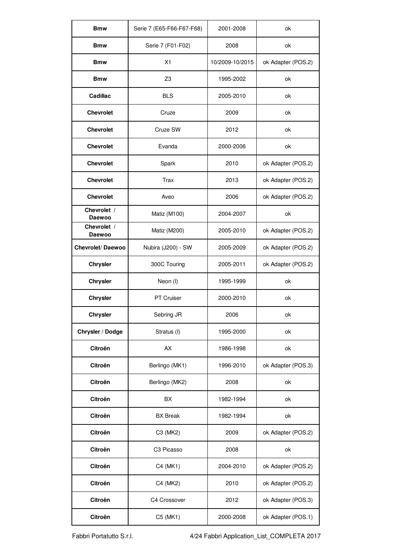| <b>Bmw</b>            | Serie 7 (E65-F66-F67-F68) | 2001-2008       | ok                 |
|-----------------------|---------------------------|-----------------|--------------------|
| <b>Bmw</b>            | Serie 7 (F01-F02)         | 2008            | ok                 |
| <b>Bmw</b>            | X1                        | 10/2009-10/2015 | ok Adapter (POS.2) |
| <b>Bmw</b>            | Z <sub>3</sub>            | 1995-2002       | ok                 |
| Cadillac              | <b>BLS</b>                | 2005-2010       | ok                 |
| Chevrolet             | Cruze                     | 2009            | ok                 |
| Chevrolet             | Cruze SW                  | 2012            | ok                 |
| Chevrolet             | Evanda                    | 2000-2006       | ok                 |
| Chevrolet             | Spark                     | 2010            | ok Adapter (POS.2) |
| Chevrolet             | Trax                      | 2013            | ok Adapter (POS.2) |
| Chevrolet             | Aveo                      | 2006            | ok Adapter (POS.2) |
| Chevrolet /<br>Daewoo | Matiz (M100)              | 2004-2007       | ok                 |
| Chevrolet /<br>Daewoo | Matiz (M200)              | 2005-2010       | ok Adapter (POS.2) |
| Chevrolet/Daewoo      | Nubira (J200) - SW        | 2005-2009       | ok Adapter (POS.2) |
| Chrysler              | 300C Touring              | 2005-2011       | ok Adapter (POS.2) |
| Chrysler              | Neon (I)                  | 1995-1999       | ok                 |
| Chrysler              | PT Cruiser                | 2000-2010       | ok                 |
| Chrysler              | Sebring JR                | 2006            | ok                 |
| Chrysler / Dodge      | Stratus (I)               | 1995-2000       | ok                 |
| Citroën               | AX                        | 1986-1998       | ok                 |
| Citroën               | Berlingo (MK1)            | 1996-2010       | ok Adapter (POS.3) |
| Citroën               | Berlingo (MK2)            | 2008            | ok                 |
| Citroën               | <b>BX</b>                 | 1982-1994       | ok                 |
| Citroën               | <b>BX</b> Break           | 1982-1994       | ok                 |
| Citroën               | C3 (MK2)                  | 2009            | ok Adapter (POS.2) |
| Citroën               | C3 Picasso                | 2008            | ok                 |
| Citroën               | C4 (MK1)                  | 2004-2010       | ok Adapter (POS.2) |
| Citroën               | C4 (MK2)                  | 2010            | ok Adapter (POS.2) |
| Citroën               | C4 Crossover              | 2012            | ok Adapter (POS.3) |
| Citroën               | C5 (MK1)                  | 2000-2008       | ok Adapter (POS.1) |

Fabbri Portatutto S.r.l. 4/24 Fabbri Application\_List\_COMPLETA 2017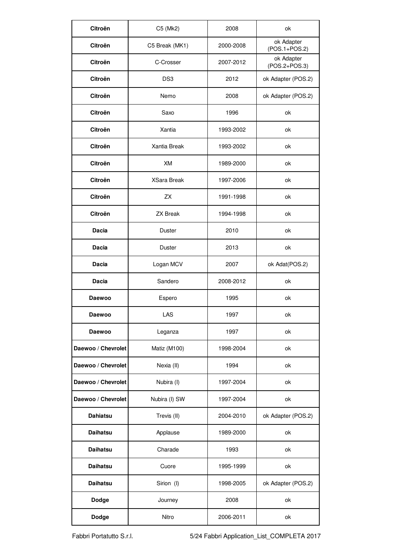| Citroën            | C5 (Mk2)           | 2008      | ok                          |
|--------------------|--------------------|-----------|-----------------------------|
| Citroën            | C5 Break (MK1)     | 2000-2008 | ok Adapter<br>(POS.1+POS.2) |
| Citroën            | C-Crosser          | 2007-2012 | ok Adapter<br>(POS.2+POS.3) |
| Citroën            | DS <sub>3</sub>    | 2012      | ok Adapter (POS.2)          |
| Citroën            | Nemo               | 2008      | ok Adapter (POS.2)          |
| Citroën            | Saxo               | 1996      | ok                          |
| Citroën            | Xantia             | 1993-2002 | ok                          |
| Citroën            | Xantia Break       | 1993-2002 | ok                          |
| Citroën            | XM                 | 1989-2000 | ok                          |
| Citroën            | <b>XSara Break</b> | 1997-2006 | ok                          |
| Citroën            | ZX                 | 1991-1998 | ok                          |
| Citroën            | <b>ZX Break</b>    | 1994-1998 | ok                          |
| Dacia              | Duster             | 2010      | ok                          |
| Dacia              | Duster             | 2013      | ok                          |
| Dacia              | Logan MCV          | 2007      | ok Adat(POS.2)              |
| Dacia              | Sandero            | 2008-2012 | ok                          |
| Daewoo             | Espero             | 1995      | ok                          |
| Daewoo             | LAS                | 1997      | ok                          |
| Daewoo             | Leganza            | 1997      | ok                          |
| Daewoo / Chevrolet | Matiz (M100)       | 1998-2004 | ok                          |
| Daewoo / Chevrolet | Nexia (II)         | 1994      | ok                          |
| Daewoo / Chevrolet | Nubira (I)         | 1997-2004 | ok                          |
| Daewoo / Chevrolet | Nubira (I) SW      | 1997-2004 | ok                          |
| Dahiatsu           | Trevis (II)        | 2004-2010 | ok Adapter (POS.2)          |
| Daihatsu           | Applause           | 1989-2000 | ok                          |
| Daihatsu           | Charade            | 1993      | ok                          |
| Daihatsu           | Cuore              | 1995-1999 | ok                          |
| Daihatsu           | Sirion (I)         | 1998-2005 | ok Adapter (POS.2)          |
| Dodge              | Journey            | 2008      | ok                          |
| Dodge              | Nitro              | 2006-2011 | ok                          |

Fabbri Portatutto S.r.l. 5/24 Fabbri Application\_List\_COMPLETA 2017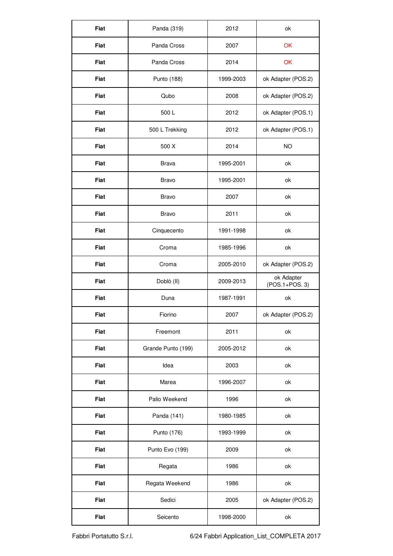| Fiat | Panda (319)        | 2012      | ok                           |
|------|--------------------|-----------|------------------------------|
| Fiat | Panda Cross        | 2007      | OK                           |
| Fiat | Panda Cross        | 2014      | OK                           |
| Fiat | Punto (188)        | 1999-2003 | ok Adapter (POS.2)           |
| Fiat | Qubo               | 2008      | ok Adapter (POS.2)           |
| Fiat | 500 L              | 2012      | ok Adapter (POS.1)           |
| Fiat | 500 L Trekking     | 2012      | ok Adapter (POS.1)           |
| Fiat | 500 X              | 2014      | NO                           |
| Fiat | <b>Brava</b>       | 1995-2001 | ok                           |
| Fiat | Bravo              | 1995-2001 | ok                           |
| Fiat | Bravo              | 2007      | ok                           |
| Fiat | Bravo              | 2011      | ok                           |
| Fiat | Cinquecento        | 1991-1998 | ok                           |
| Fiat | Croma              | 1985-1996 | ok                           |
| Fiat | Croma              | 2005-2010 | ok Adapter (POS.2)           |
| Fiat | Doblò (II)         | 2009-2013 | ok Adapter<br>(POS.1+POS. 3) |
| Fiat | Duna               | 1987-1991 | ok                           |
| Fiat | Fiorino            | 2007      | ok Adapter (POS.2)           |
| Fiat | Freemont           | 2011      | ok                           |
| Fiat | Grande Punto (199) | 2005-2012 | ok                           |
| Fiat | Idea               | 2003      | ok                           |
| Fiat | Marea              | 1996-2007 | ok                           |
| Fiat | Palio Weekend      | 1996      | ok                           |
| Fiat | Panda (141)        | 1980-1985 | ok                           |
| Fiat | Punto (176)        | 1993-1999 | ok                           |
| Fiat | Punto Evo (199)    | 2009      | ok                           |
| Fiat | Regata             | 1986      | ok                           |
| Fiat | Regata Weekend     | 1986      | ok                           |
| Fiat | Sedici             | 2005      | ok Adapter (POS.2)           |
| Fiat | Seicento           | 1998-2000 | ok                           |

Fabbri Portatutto S.r.l. 6/24 Fabbri Application\_List\_COMPLETA 2017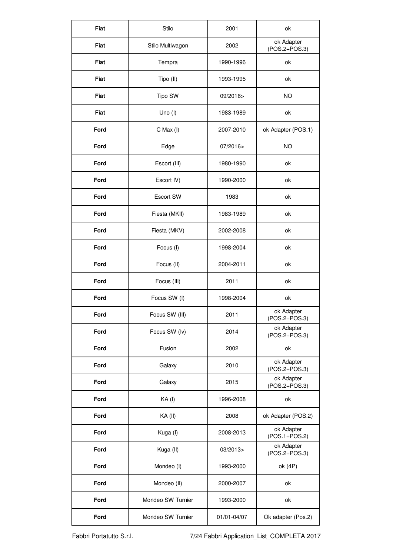| Fiat | Stilo             | 2001        | ok                          |
|------|-------------------|-------------|-----------------------------|
| Fiat | Stilo Multiwagon  | 2002        | ok Adapter<br>(POS.2+POS.3) |
| Fiat | Tempra            | 1990-1996   | ok                          |
| Fiat | Tipo (II)         | 1993-1995   | ok                          |
| Fiat | Tipo SW           | 09/2016>    | NO                          |
| Fiat | Uno $($ l $)$     | 1983-1989   | ok                          |
| Ford | C Max (I)         | 2007-2010   | ok Adapter (POS.1)          |
| Ford | Edge              | 07/2016>    | NO                          |
| Ford | Escort (III)      | 1980-1990   | ok                          |
| Ford | Escort IV)        | 1990-2000   | ok                          |
| Ford | Escort SW         | 1983        | ok                          |
| Ford | Fiesta (MKII)     | 1983-1989   | ok                          |
| Ford | Fiesta (MKV)      | 2002-2008   | ok                          |
| Ford | Focus (I)         | 1998-2004   | ok                          |
| Ford | Focus (II)        | 2004-2011   | ok                          |
| Ford | Focus (III)       | 2011        | ok                          |
| Ford | Focus SW (I)      | 1998-2004   | ok                          |
| Ford | Focus SW (III)    | 2011        | ok Adapter<br>(POS.2+POS.3) |
| Ford | Focus SW (lv)     | 2014        | ok Adapter<br>(POS.2+POS.3) |
| Ford | Fusion            | 2002        | ok                          |
| Ford | Galaxy            | 2010        | ok Adapter<br>(POS.2+POS.3) |
| Ford | Galaxy            | 2015        | ok Adapter<br>(POS.2+POS.3) |
| Ford | KA(I)             | 1996-2008   | ok                          |
| Ford | KA (II)           | 2008        | ok Adapter (POS.2)          |
| Ford | Kuga (I)          | 2008-2013   | ok Adapter<br>(POS.1+POS.2) |
| Ford | Kuga (II)         | 03/2013>    | ok Adapter<br>(POS.2+POS.3) |
| Ford | Mondeo (I)        | 1993-2000   | ok (4P)                     |
| Ford | Mondeo (II)       | 2000-2007   | ok                          |
| Ford | Mondeo SW Turnier | 1993-2000   | ok                          |
| Ford | Mondeo SW Turnier | 01/01-04/07 | Ok adapter (Pos.2)          |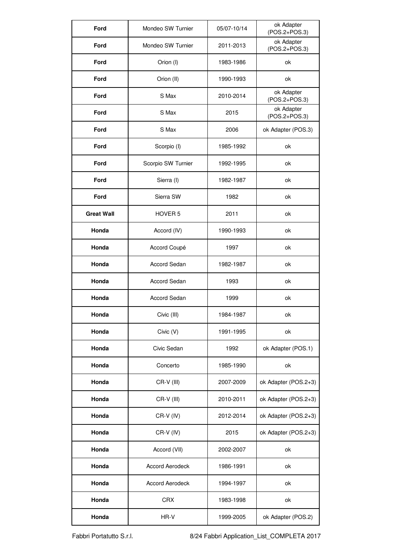| Ford              | Mondeo SW Turnier      | 05/07-10/14 | ok Adapter<br>(POS.2+POS.3) |
|-------------------|------------------------|-------------|-----------------------------|
| Ford              | Mondeo SW Turnier      | 2011-2013   | ok Adapter<br>(POS.2+POS.3) |
| Ford              | Orion (I)              | 1983-1986   | ok                          |
| Ford              | Orion (II)             | 1990-1993   | ok                          |
| Ford              | S Max                  | 2010-2014   | ok Adapter<br>(POS.2+POS.3) |
| Ford              | S Max                  | 2015        | ok Adapter<br>(POS.2+POS.3) |
| Ford              | S Max                  | 2006        | ok Adapter (POS.3)          |
| Ford              | Scorpio (I)            | 1985-1992   | ok                          |
| Ford              | Scorpio SW Turnier     | 1992-1995   | ok                          |
| Ford              | Sierra (I)             | 1982-1987   | ok                          |
| Ford              | Sierra SW              | 1982        | ok                          |
| <b>Great Wall</b> | HOVER <sub>5</sub>     | 2011        | ok                          |
| Honda             | Accord (IV)            | 1990-1993   | ok                          |
| Honda             | Accord Coupé           | 1997        | ok                          |
| Honda             | Accord Sedan           | 1982-1987   | ok                          |
| Honda             | Accord Sedan           | 1993        | ok                          |
| Honda             | Accord Sedan           | 1999        | ok                          |
| Honda             | Civic (III)            | 1984-1987   | ok                          |
| Honda             | Civic (V)              | 1991-1995   | ok                          |
| Honda             | Civic Sedan            | 1992        | ok Adapter (POS.1)          |
| Honda             | Concerto               | 1985-1990   | ok                          |
| Honda             | CR-V (III)             | 2007-2009   | ok Adapter (POS.2+3)        |
| Honda             | CR-V (III)             | 2010-2011   | ok Adapter (POS.2+3)        |
| Honda             | CR-V (IV)              | 2012-2014   | ok Adapter (POS.2+3)        |
| Honda             | CR-V (IV)              | 2015        | ok Adapter (POS.2+3)        |
| Honda             | Accord (VII)           | 2002-2007   | ok                          |
| Honda             | <b>Accord Aerodeck</b> | 1986-1991   | ok                          |
| Honda             | <b>Accord Aerodeck</b> | 1994-1997   | ok                          |
| Honda             | CRX                    | 1983-1998   | ok                          |
| Honda             | HR-V                   | 1999-2005   | ok Adapter (POS.2)          |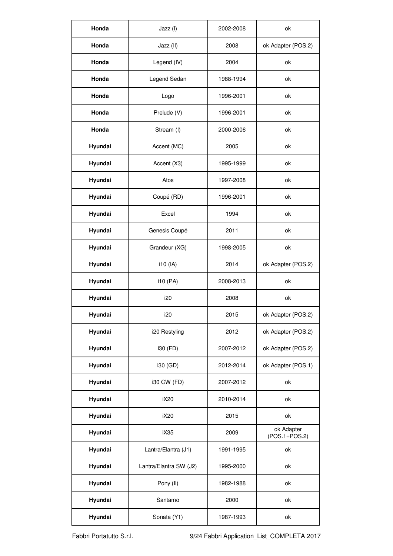| Honda   | Jazz (I)               | 2002-2008 | ok                          |
|---------|------------------------|-----------|-----------------------------|
| Honda   | Jazz (II)              | 2008      | ok Adapter (POS.2)          |
| Honda   | Legend (IV)            | 2004      | ok                          |
| Honda   | Legend Sedan           | 1988-1994 | ok                          |
| Honda   | Logo                   | 1996-2001 | ok                          |
| Honda   | Prelude (V)            | 1996-2001 | ok                          |
| Honda   | Stream (I)             | 2000-2006 | ok                          |
| Hyundai | Accent (MC)            | 2005      | ok                          |
| Hyundai | Accent (X3)            | 1995-1999 | ok                          |
| Hyundai | Atos                   | 1997-2008 | ok                          |
| Hyundai | Coupé (RD)             | 1996-2001 | ok                          |
| Hyundai | Excel                  | 1994      | ok                          |
| Hyundai | Genesis Coupé          | 2011      | ok                          |
| Hyundai | Grandeur (XG)          | 1998-2005 | ok                          |
| Hyundai | i10 (IA)               | 2014      | ok Adapter (POS.2)          |
| Hyundai | i10 (PA)               | 2008-2013 | ok                          |
| Hyundai | i20                    | 2008      | ok                          |
| Hyundai | i20                    | 2015      | ok Adapter (POS.2)          |
| Hyundai | i20 Restyling          | 2012      | ok Adapter (POS.2)          |
| Hyundai | i30 (FD)               | 2007-2012 | ok Adapter (POS.2)          |
| Hyundai | i30 (GD)               | 2012-2014 | ok Adapter (POS.1)          |
| Hyundai | i30 CW (FD)            | 2007-2012 | ok                          |
| Hyundai | iX20                   | 2010-2014 | ok                          |
| Hyundai | iX20                   | 2015      | ok                          |
| Hyundai | iX35                   | 2009      | ok Adapter<br>(POS.1+POS.2) |
| Hyundai | Lantra/Elantra (J1)    | 1991-1995 | ok                          |
| Hyundai | Lantra/Elantra SW (J2) | 1995-2000 | ok                          |
| Hyundai | Pony (II)              | 1982-1988 | ok                          |
| Hyundai | Santamo                | 2000      | ok                          |
| Hyundai | Sonata (Y1)            | 1987-1993 | ok                          |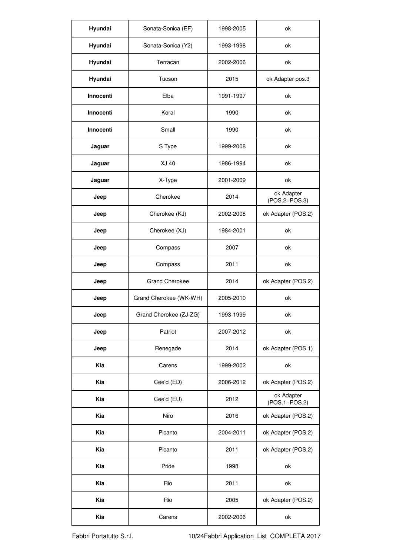| Hyundai   | Sonata-Sonica (EF)     | 1998-2005 | ok                          |
|-----------|------------------------|-----------|-----------------------------|
| Hyundai   | Sonata-Sonica (Y2)     | 1993-1998 | ok                          |
| Hyundai   | Terracan               | 2002-2006 | ok                          |
| Hyundai   | Tucson                 | 2015      | ok Adapter pos.3            |
| Innocenti | Elba                   | 1991-1997 | ok                          |
| Innocenti | Koral                  | 1990      | ok                          |
| Innocenti | Small                  | 1990      | ok                          |
| Jaguar    | S Type                 | 1999-2008 | ok                          |
| Jaguar    | XJ 40                  | 1986-1994 | ok                          |
| Jaguar    | X-Type                 | 2001-2009 | ok                          |
| Jeep      | Cherokee               | 2014      | ok Adapter<br>(POS.2+POS.3) |
| Jeep      | Cherokee (KJ)          | 2002-2008 | ok Adapter (POS.2)          |
| Jeep      | Cherokee (XJ)          | 1984-2001 | ok                          |
| Jeep      | Compass                | 2007      | ok                          |
| Jeep      | Compass                | 2011      | ok                          |
| Jeep      | Grand Cherokee         | 2014      | ok Adapter (POS.2)          |
| Jeep      | Grand Cherokee (WK-WH) | 2005-2010 | ok                          |
| Jeep      | Grand Cherokee (ZJ-ZG) | 1993-1999 | ok                          |
| Jeep      | Patriot                | 2007-2012 | ok                          |
| Jeep      | Renegade               | 2014      | ok Adapter (POS.1)          |
| Kia       | Carens                 | 1999-2002 | ok                          |
| Kia       | Cee'd (ED)             | 2006-2012 | ok Adapter (POS.2)          |
| Kia       | Cee'd (EU)             | 2012      | ok Adapter<br>(POS.1+POS.2) |
| Kia       | Niro                   | 2016      | ok Adapter (POS.2)          |
| Kia       | Picanto                | 2004-2011 | ok Adapter (POS.2)          |
| Kia       | Picanto                | 2011      | ok Adapter (POS.2)          |
| Kia       | Pride                  | 1998      | ok                          |
| Kia       | Rio                    | 2011      | ok                          |
| Kia       | Rio                    | 2005      | ok Adapter (POS.2)          |
| Kia       | Carens                 | 2002-2006 | ok                          |

Fabbri Portatutto S.r.l. 10/24Fabbri Application\_List\_COMPLETA 2017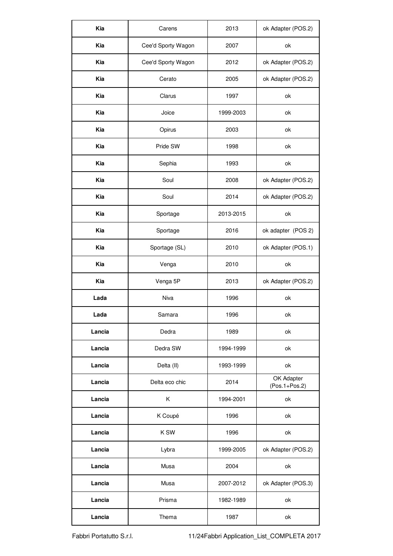| Kia<br>Cee'd Sporty Wagon<br>2007<br>ok                           | ok Adapter (POS.2) |
|-------------------------------------------------------------------|--------------------|
|                                                                   |                    |
| Kia<br>Cee'd Sporty Wagon<br>2012<br>ok Adapter (POS.2)           |                    |
| Kia<br>Cerato<br>ok Adapter (POS.2)<br>2005                       |                    |
| Kia<br>Clarus<br>1997<br>ok                                       |                    |
| Kia<br>Joice<br>1999-2003<br>ok                                   |                    |
| Kia<br>Opirus<br>2003<br>ok                                       |                    |
| Kia<br>Pride SW<br>1998<br>ok                                     |                    |
| Kia<br>Sephia<br>1993<br>ok                                       |                    |
| Kia<br>Soul<br>ok Adapter (POS.2)<br>2008                         |                    |
| Kia<br>Soul<br>ok Adapter (POS.2)<br>2014                         |                    |
| Kia<br>Sportage<br>2013-2015<br>ok                                |                    |
| Kia<br>ok adapter (POS 2)<br>Sportage<br>2016                     |                    |
| Kia<br>Sportage (SL)<br>ok Adapter (POS.1)<br>2010                |                    |
| Kia<br>Venga<br>2010<br>ok                                        |                    |
| Kia<br>Venga 5P<br>ok Adapter (POS.2)<br>2013                     |                    |
| Niva<br>Lada<br>1996<br>ok                                        |                    |
| Lada<br>Samara<br>1996<br>ok                                      |                    |
|                                                                   |                    |
| Lancia<br>Dedra<br>1989<br>ok                                     |                    |
| Dedra SW<br>1994-1999<br>Lancia<br>ok                             |                    |
| Lancia<br>1993-1999<br>Delta (II)<br>ok                           |                    |
| OK Adapter<br>Delta eco chic<br>2014<br>Lancia<br>$(Pos.1+Pos.2)$ |                    |
| 1994-2001<br>Lancia<br>Κ<br>ok                                    |                    |
| K Coupé<br>Lancia<br>1996<br>ok                                   |                    |
| Lancia<br>K SW<br>1996<br>ok                                      |                    |
| Lancia<br>ok Adapter (POS.2)<br>Lybra<br>1999-2005                |                    |
| Lancia<br>Musa<br>2004<br>ok                                      |                    |
| Lancia<br>Musa<br>2007-2012<br>ok Adapter (POS.3)                 |                    |
| Lancia<br>Prisma<br>1982-1989<br>ok                               |                    |

Fabbri Portatutto S.r.l. 11/24Fabbri Application\_List\_COMPLETA 2017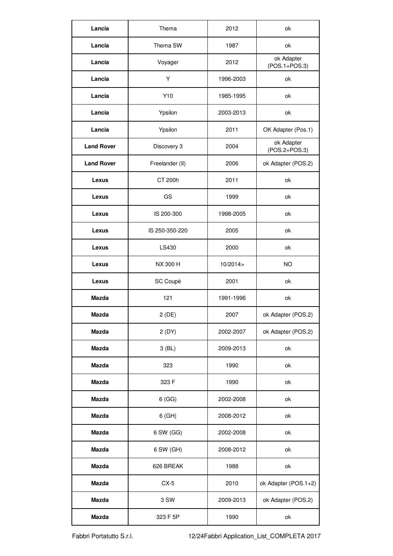| Lancia            | Thema           | 2012      | ok                          |
|-------------------|-----------------|-----------|-----------------------------|
| Lancia            | Thema SW        | 1987      | ok                          |
| Lancia            | Voyager         | 2012      | ok Adapter<br>(POS.1+POS.3) |
| Lancia            | Υ               | 1996-2003 | ok                          |
| Lancia            | Y10             | 1985-1995 | ok                          |
| Lancia            | Ypsilon         | 2003-2013 | ok                          |
| Lancia            | Ypsilon         | 2011      | OK Adapter (Pos.1)          |
| <b>Land Rover</b> | Discovery 3     | 2004      | ok Adapter<br>(POS.2+POS.3) |
| <b>Land Rover</b> | Freelander (II) | 2006      | ok Adapter (POS.2)          |
| Lexus             | CT 200h         | 2011      | ok                          |
| Lexus             | GS              | 1999      | ok                          |
| Lexus             | IS 200-300      | 1998-2005 | ok                          |
| Lexus             | IS 250-350-220  | 2005      | ok                          |
| Lexus             | LS430           | 2000      | ok                          |
| Lexus             | NX 300 H        | 10/2014   | <b>NO</b>                   |
| Lexus             | SC Coupè        | 2001      | ok                          |
| Mazda             | 121             | 1991-1996 | ok                          |
| Mazda             | 2 (DE)          | 2007      | ok Adapter (POS.2)          |
| Mazda             | 2 (DY)          | 2002-2007 | ok Adapter (POS.2)          |
| Mazda             | $3$ (BL)        | 2009-2013 | ok                          |
| Mazda             | 323             | 1990      | ok                          |
| Mazda             | 323 F           | 1990      | ok                          |
| Mazda             | 6(GG)           | 2002-2008 | ok                          |
| Mazda             | 6 (GH)          | 2008-2012 | ok                          |
| Mazda             | 6 SW (GG)       | 2002-2008 | ok                          |
| Mazda             | 6 SW (GH)       | 2008-2012 | ok                          |
| Mazda             | 626 BREAK       | 1988      | ok                          |
| Mazda             | $CX-5$          | 2010      | ok Adapter (POS.1+2)        |
| Mazda             | 3 SW            | 2009-2013 | ok Adapter (POS.2)          |
| Mazda             | 323 F 5P        | 1990      | ok                          |

Fabbri Portatutto S.r.l. 12/24Fabbri Application\_List\_COMPLETA 2017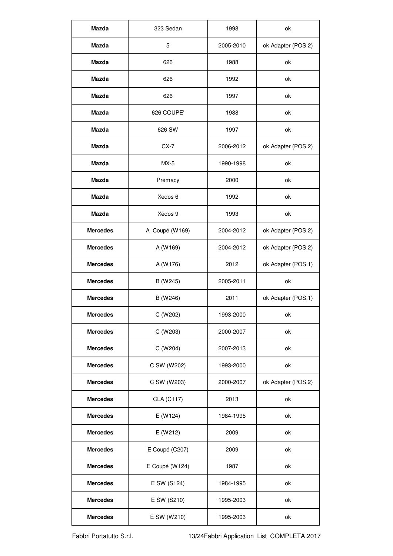| Mazda           | 323 Sedan      | 1998      | ok                 |
|-----------------|----------------|-----------|--------------------|
| Mazda           | 5              | 2005-2010 | ok Adapter (POS.2) |
| Mazda           | 626            | 1988      | ok                 |
| Mazda           | 626            | 1992      | ok                 |
| Mazda           | 626            | 1997      | ok                 |
| Mazda           | 626 COUPE'     | 1988      | ok                 |
| Mazda           | 626 SW         | 1997      | ok                 |
| Mazda           | $CX-7$         | 2006-2012 | ok Adapter (POS.2) |
| Mazda           | MX-5           | 1990-1998 | ok                 |
| Mazda           | Premacy        | 2000      | ok                 |
| Mazda           | Xedos 6        | 1992      | ok                 |
| Mazda           | Xedos 9        | 1993      | ok                 |
| <b>Mercedes</b> | A Coupé (W169) | 2004-2012 | ok Adapter (POS.2) |
| <b>Mercedes</b> | A (W169)       | 2004-2012 | ok Adapter (POS.2) |
| <b>Mercedes</b> | A (W176)       | 2012      | ok Adapter (POS.1) |
| <b>Mercedes</b> | B (W245)       | 2005-2011 | ok                 |
| <b>Mercedes</b> | B (W246)       | 2011      | ok Adapter (POS.1) |
| <b>Mercedes</b> | C (W202)       | 1993-2000 | ok                 |
| <b>Mercedes</b> | C (W203)       | 2000-2007 | ok                 |
| <b>Mercedes</b> | C (W204)       | 2007-2013 | ok                 |
| <b>Mercedes</b> | C SW (W202)    | 1993-2000 | ok                 |
| Mercedes        | C SW (W203)    | 2000-2007 | ok Adapter (POS.2) |
| <b>Mercedes</b> | CLA (C117)     | 2013      | ok                 |
| <b>Mercedes</b> | E (W124)       | 1984-1995 | ok                 |
| <b>Mercedes</b> | E (W212)       | 2009      | ok                 |
| <b>Mercedes</b> | E Coupé (C207) | 2009      | ok                 |
| Mercedes        | E Coupé (W124) | 1987      | ok                 |
| <b>Mercedes</b> | E SW (S124)    | 1984-1995 | ok                 |
| <b>Mercedes</b> | E SW (S210)    | 1995-2003 | ok                 |
| <b>Mercedes</b> | E SW (W210)    | 1995-2003 | ok                 |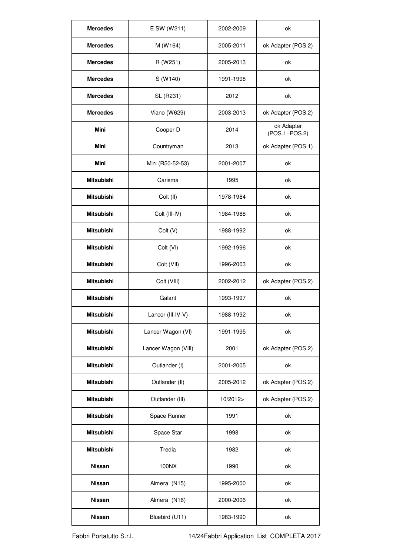| <b>Mercedes</b>   | E SW (W211)         | 2002-2009 | ok                          |
|-------------------|---------------------|-----------|-----------------------------|
| <b>Mercedes</b>   | M (W164)            | 2005-2011 | ok Adapter (POS.2)          |
| <b>Mercedes</b>   | R (W251)            | 2005-2013 | ok                          |
| <b>Mercedes</b>   | S (W140)            | 1991-1998 | ok                          |
| <b>Mercedes</b>   | SL (R231)           | 2012      | ok                          |
| <b>Mercedes</b>   | Viano (W629)        | 2003-2013 | ok Adapter (POS.2)          |
| Mini              | Cooper D            | 2014      | ok Adapter<br>(POS.1+POS.2) |
| Mini              | Countryman          | 2013      | ok Adapter (POS.1)          |
| Mini              | Mini (R50-52-53)    | 2001-2007 | ok                          |
| Mitsubishi        | Carisma             | 1995      | ok                          |
| Mitsubishi        | Colt (II)           | 1978-1984 | ok                          |
| Mitsubishi        | Colt (III-IV)       | 1984-1988 | ok                          |
| Mitsubishi        | Colt (V)            | 1988-1992 | ok                          |
| Mitsubishi        | Colt (VI)           | 1992-1996 | ok                          |
| Mitsubishi        | Colt (VII)          | 1996-2003 | ok                          |
| Mitsubishi        | Colt (VIII)         | 2002-2012 | ok Adapter (POS.2)          |
| Mitsubishi        | Galant              | 1993-1997 | ok                          |
| <b>Mitsubishi</b> | Lancer (III-IV-V)   | 1988-1992 | ok                          |
| Mitsubishi        | Lancer Wagon (VI)   | 1991-1995 | ok                          |
| Mitsubishi        | Lancer Wagon (VIII) | 2001      | ok Adapter (POS.2)          |
| Mitsubishi        | Outlander (I)       | 2001-2005 | ok                          |
| Mitsubishi        | Outlander (II)      | 2005-2012 | ok Adapter (POS.2)          |
| Mitsubishi        | Outlander (III)     | 10/2012>  | ok Adapter (POS.2)          |
| Mitsubishi        | Space Runner        | 1991      | ok                          |
| Mitsubishi        | Space Star          | 1998      | ok                          |
| Mitsubishi        | Tredia              | 1982      | ok                          |
| Nissan            | 100NX               | 1990      | ok                          |
| Nissan            | Almera (N15)        | 1995-2000 | ok                          |
| Nissan            | Almera (N16)        | 2000-2006 | ok                          |
| Nissan            | Bluebird (U11)      | 1983-1990 | ok                          |

Fabbri Portatutto S.r.l. 14/24Fabbri Application\_List\_COMPLETA 2017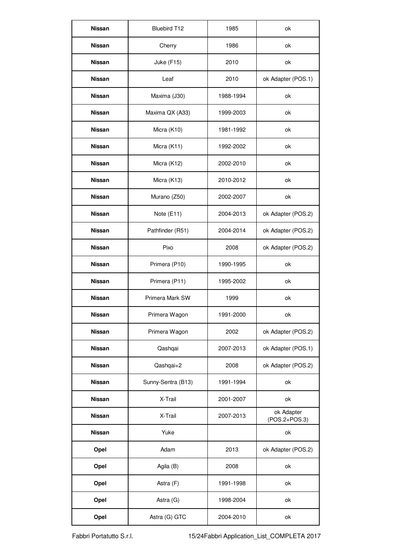| Nissan        | Bluebird T12       | 1985      | ok                          |
|---------------|--------------------|-----------|-----------------------------|
| Nissan        | Cherry             | 1986      | nk                          |
| Nissan        | Juke (F15)         | 2010      | ok                          |
| Nissan        | Leaf               | 2010      | ok Adapter (POS.1)          |
| Nissan        | Maxima (J30)       | 1988-1994 | ok                          |
| Nissan        | Maxima QX (A33)    | 1999-2003 | ok                          |
| Nissan        | Micra (K10)        | 1981-1992 | ok                          |
| Nissan        | Micra (K11)        | 1992-2002 | ok                          |
| Nissan        | Micra (K12)        | 2002-2010 | ok                          |
| Nissan        | Micra (K13)        | 2010-2012 | ok                          |
| Nissan        | Murano (Z50)       | 2002-2007 | ok                          |
| Nissan        | Note (E11)         | 2004-2013 | ok Adapter (POS.2)          |
| Nissan        | Pathfinder (R51)   | 2004-2014 | ok Adapter (POS.2)          |
| Nissan        | Pixo               | 2008      | ok Adapter (POS.2)          |
| Nissan        | Primera (P10)      | 1990-1995 | ok                          |
| Nissan        | Primera (P11)      | 1995-2002 | ok                          |
| Nissan        | Primera Mark SW    | 1999      | ok                          |
| Nissan        | Primera Wagon      | 1991-2000 | ok                          |
| <b>Nissan</b> | Primera Wagon      | 2002      | ok Adapter (POS.2)          |
| Nissan        | Qashqai            | 2007-2013 | ok Adapter (POS.1)          |
| Nissan        | Qashqai+2          | 2008      | ok Adapter (POS.2)          |
| Nissan        | Sunny-Sentra (B13) | 1991-1994 | ok                          |
| Nissan        | X-Trail            | 2001-2007 | ok                          |
| Nissan        | X-Trail            | 2007-2013 | ok Adapter<br>(POS.2+POS.3) |
| Nissan        | Yuke               |           | ok                          |
| Opel          | Adam               | 2013      | ok Adapter (POS.2)          |
| Opel          | Agila (B)          | 2008      | ok                          |
| Opel          | Astra (F)          | 1991-1998 | ok                          |
| Opel          | Astra (G)          | 1998-2004 | ok                          |
| Opel          | Astra (G) GTC      | 2004-2010 | ok                          |

Fabbri Portatutto S.r.l. 15/24Fabbri Application\_List\_COMPLETA 2017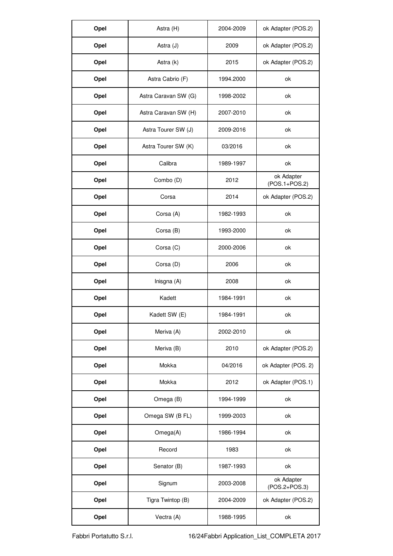| Opel | Astra (H)            | 2004-2009 | ok Adapter (POS.2)            |
|------|----------------------|-----------|-------------------------------|
| Opel | Astra (J)            | 2009      | ok Adapter (POS.2)            |
| Opel | Astra (k)            | 2015      | ok Adapter (POS.2)            |
| Opel | Astra Cabrio (F)     | 1994.2000 | ok                            |
| Opel | Astra Caravan SW (G) | 1998-2002 | ok                            |
| Opel | Astra Caravan SW (H) | 2007-2010 | ok                            |
| Opel | Astra Tourer SW (J)  | 2009-2016 | ok                            |
| Opel | Astra Tourer SW (K)  | 03/2016   | ok                            |
| Opel | Calibra              | 1989-1997 | ok                            |
| Opel | Combo (D)            | 2012      | ok Adapter<br>$(POS.1+POS.2)$ |
| Opel | Corsa                | 2014      | ok Adapter (POS.2)            |
| Opel | Corsa (A)            | 1982-1993 | ok                            |
| Opel | Corsa (B)            | 1993-2000 | ok                            |
| Opel | Corsa (C)            | 2000-2006 | ok                            |
| Opel | Corsa (D)            | 2006      | ok                            |
| Opel | Inisgna (A)          | 2008      | ok                            |
| Opel | Kadett               | 1984-1991 | ok                            |
| Opel | Kadett SW (E)        | 1984-1991 | ok                            |
| Opel | Meriva (A)           | 2002-2010 | ok                            |
| Opel | Meriva (B)           | 2010      | ok Adapter (POS.2)            |
| Opel | Mokka                | 04/2016   | ok Adapter (POS. 2)           |
| Opel | Mokka                | 2012      | ok Adapter (POS.1)            |
| Opel | Omega (B)            | 1994-1999 | ok                            |
| Opel | Omega SW (B FL)      | 1999-2003 | ok                            |
| Opel | Omega(A)             | 1986-1994 | ok                            |
| Opel | Record               | 1983      | ok                            |
| Opel | Senator (B)          | 1987-1993 | ok                            |
| Opel | Signum               | 2003-2008 | ok Adapter<br>(POS.2+POS.3)   |
| Opel | Tigra Twintop (B)    | 2004-2009 | ok Adapter (POS.2)            |
| Opel | Vectra (A)           | 1988-1995 | ok                            |

Fabbri Portatutto S.r.l. 16/24Fabbri Application\_List\_COMPLETA 2017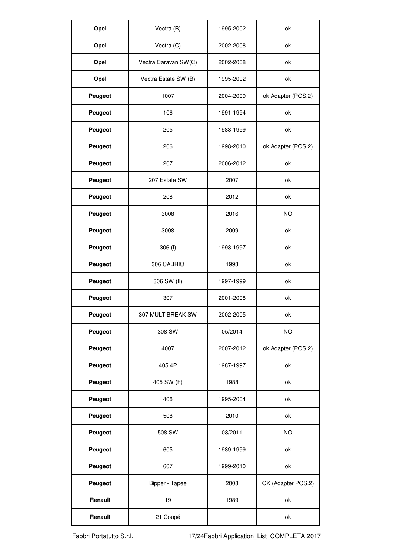| Opel    | Vectra (B)           | 1995-2002 | ok                 |
|---------|----------------------|-----------|--------------------|
| Opel    | Vectra (C)           | 2002-2008 | ok                 |
| Opel    | Vectra Caravan SW(C) | 2002-2008 | ok                 |
| Opel    | Vectra Estate SW (B) | 1995-2002 | ok                 |
| Peugeot | 1007                 | 2004-2009 | ok Adapter (POS.2) |
| Peugeot | 106                  | 1991-1994 | ok                 |
| Peugeot | 205                  | 1983-1999 | ok                 |
| Peugeot | 206                  | 1998-2010 | ok Adapter (POS.2) |
| Peugeot | 207                  | 2006-2012 | ok                 |
| Peugeot | 207 Estate SW        | 2007      | ok                 |
| Peugeot | 208                  | 2012      | ok                 |
| Peugeot | 3008                 | 2016      | <b>NO</b>          |
| Peugeot | 3008                 | 2009      | ok                 |
| Peugeot | 306 (l)              | 1993-1997 | ok                 |
| Peugeot | 306 CABRIO           | 1993      | ok                 |
| Peugeot | 306 SW (II)          | 1997-1999 | ok                 |
| Peugeot | 307                  | 2001-2008 | ok                 |
| Peugeot | 307 MULTIBREAK SW    | 2002-2005 | ok                 |
| Peugeot | 308 SW               | 05/2014   | NO                 |
| Peugeot | 4007                 | 2007-2012 | ok Adapter (POS.2) |
| Peugeot | 405 4P               | 1987-1997 | ok                 |
| Peugeot | 405 SW (F)           | 1988      | ok                 |
| Peugeot | 406                  | 1995-2004 | ok                 |
| Peugeot | 508                  | 2010      | ok                 |
| Peugeot | 508 SW               | 03/2011   | NO                 |
| Peugeot | 605                  | 1989-1999 | ok                 |
| Peugeot | 607                  | 1999-2010 | ok                 |
| Peugeot | Bipper - Tapee       | 2008      | OK (Adapter POS.2) |
| Renault | 19                   | 1989      | ok                 |
| Renault | 21 Coupé             |           | ok                 |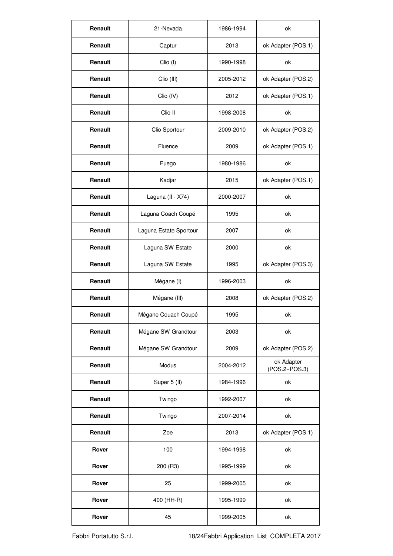| Renault | 21-Nevada              | 1986-1994 | ok                          |
|---------|------------------------|-----------|-----------------------------|
| Renault | Captur                 | 2013      | ok Adapter (POS.1)          |
| Renault | Clio (I)               | 1990-1998 | ok                          |
| Renault | Clio (III)             | 2005-2012 | ok Adapter (POS.2)          |
| Renault | Clio (IV)              | 2012      | ok Adapter (POS.1)          |
| Renault | Clio II                | 1998-2008 | ok                          |
| Renault | Clio Sportour          | 2009-2010 | ok Adapter (POS.2)          |
| Renault | Fluence                | 2009      | ok Adapter (POS.1)          |
| Renault | Fuego                  | 1980-1986 | ok                          |
| Renault | Kadjar                 | 2015      | ok Adapter (POS.1)          |
| Renault | Laguna (II - X74)      | 2000-2007 | ok                          |
| Renault | Laguna Coach Coupé     | 1995      | ok                          |
| Renault | Laguna Estate Sportour | 2007      | ok                          |
| Renault | Laguna SW Estate       | 2000      | ok                          |
| Renault | Laguna SW Estate       | 1995      | ok Adapter (POS.3)          |
| Renault | Mégane (I)             | 1996-2003 | ok                          |
| Renault | Mégane (III)           | 2008      | ok Adapter (POS.2)          |
| Renault | Mégane Couach Coupé    | 1995      | ok                          |
| Renault | Mégane SW Grandtour    | 2003      | ok                          |
| Renault | Mégane SW Grandtour    | 2009      | ok Adapter (POS.2)          |
| Renault | Modus                  | 2004-2012 | ok Adapter<br>(POS.2+POS.3) |
| Renault | Super 5 (II)           | 1984-1996 | ok                          |
| Renault | Twingo                 | 1992-2007 | ok                          |
| Renault | Twingo                 | 2007-2014 | ok                          |
| Renault | Zoe                    | 2013      | ok Adapter (POS.1)          |
| Rover   | 100                    | 1994-1998 | ok                          |
| Rover   | 200 (R3)               | 1995-1999 | ok                          |
| Rover   | 25                     | 1999-2005 | ok                          |
| Rover   | 400 (HH-R)             | 1995-1999 | ok                          |
| Rover   | 45                     | 1999-2005 | ok                          |

Fabbri Portatutto S.r.l. 18/24Fabbri Application\_List\_COMPLETA 2017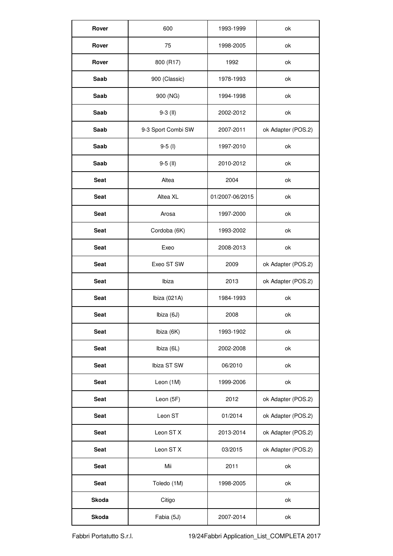| Rover       | 600                | 1993-1999       | ok                 |
|-------------|--------------------|-----------------|--------------------|
| Rover       | 75                 | 1998-2005       | ok                 |
| Rover       | 800 (R17)          | 1992            | ok                 |
| Saab        | 900 (Classic)      | 1978-1993       | ok                 |
| Saab        | 900 (NG)           | 1994-1998       | ok                 |
| Saab        | $9-3$ (II)         | 2002-2012       | ok                 |
| Saab        | 9-3 Sport Combi SW | 2007-2011       | ok Adapter (POS.2) |
| Saab        | $9 - 5$ (l)        | 1997-2010       | ok                 |
| Saab        | $9-5$ (II)         | 2010-2012       | ok                 |
| <b>Seat</b> | Altea              | 2004            | ok                 |
| Seat        | Altea XL           | 01/2007-06/2015 | ok                 |
| <b>Seat</b> | Arosa              | 1997-2000       | ok                 |
| <b>Seat</b> | Cordoba (6K)       | 1993-2002       | ok                 |
| Seat        | Exeo               | 2008-2013       | ok                 |
| Seat        | Exeo ST SW         | 2009            | ok Adapter (POS.2) |
| Seat        | Ibiza              | 2013            | ok Adapter (POS.2) |
| Seat        | Ibiza (021A)       | 1984-1993       | ok                 |
| Seat        | Ibiza (6J)         | 2008            | ok                 |
| Seat        | Ibiza (6K)         | 1993-1902       | ok                 |
| Seat        | Ibiza (6L)         | 2002-2008       | ok                 |
| Seat        | Ibiza ST SW        | 06/2010         | ok                 |
| Seat        | Leon (1M)          | 1999-2006       | ok                 |
| Seat        | Leon (5F)          | 2012            | ok Adapter (POS.2) |
| <b>Seat</b> | Leon ST            | 01/2014         | ok Adapter (POS.2) |
| <b>Seat</b> | Leon ST X          | 2013-2014       | ok Adapter (POS.2) |
| <b>Seat</b> | Leon ST X          | 03/2015         | ok Adapter (POS.2) |
| Seat        | Mii                | 2011            | ok                 |
| <b>Seat</b> | Toledo (1M)        | 1998-2005       | ok                 |
| Skoda       | Citigo             |                 | ok                 |
| Skoda       | Fabia (5J)         | 2007-2014       | ok                 |

Fabbri Portatutto S.r.l. 19/24Fabbri Application\_List\_COMPLETA 2017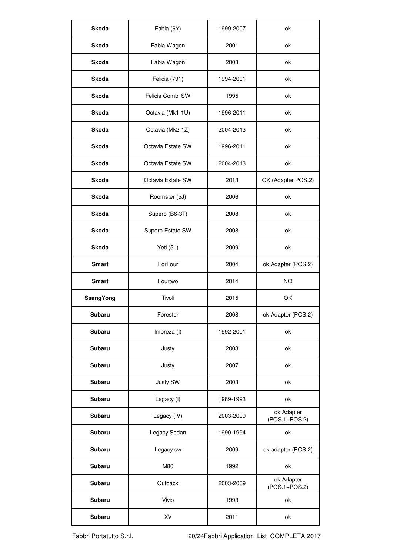| Skoda            | Fabia (6Y)        | 1999-2007 | ok                          |
|------------------|-------------------|-----------|-----------------------------|
| Skoda            | Fabia Wagon       | 2001      | ok                          |
| Skoda            | Fabia Wagon       | 2008      | ok                          |
| Skoda            | Felicia (791)     | 1994-2001 | ok                          |
| Skoda            | Felicia Combi SW  | 1995      | ok                          |
| Skoda            | Octavia (Mk1-1U)  | 1996-2011 | ok                          |
| Skoda            | Octavia (Mk2-1Z)  | 2004-2013 | ok                          |
| Skoda            | Octavia Estate SW | 1996-2011 | ok                          |
| Skoda            | Octavia Estate SW | 2004-2013 | ok                          |
| Skoda            | Octavia Estate SW | 2013      | OK (Adapter POS.2)          |
| Skoda            | Roomster (5J)     | 2006      | ok                          |
| Skoda            | Superb (B6-3T)    | 2008      | ok                          |
| Skoda            | Superb Estate SW  | 2008      | ok                          |
| Skoda            | Yeti (5L)         | 2009      | ok                          |
| Smart            | ForFour           | 2004      | ok Adapter (POS.2)          |
| Smart            | Fourtwo           | 2014      | <b>NO</b>                   |
| <b>SsangYong</b> | Tivoli            | 2015      | OK                          |
| Subaru           | Forester          | 2008      | ok Adapter (POS.2)          |
| Subaru           | Impreza (I)       | 1992-2001 | ok                          |
| Subaru           | Justy             | 2003      | ok                          |
| Subaru           | Justy             | 2007      | ok                          |
| Subaru           | Justy SW          | 2003      | ok                          |
| Subaru           | Legacy (I)        | 1989-1993 | ok                          |
| Subaru           | Legacy (IV)       | 2003-2009 | ok Adapter<br>(POS.1+POS.2) |
| Subaru           | Legacy Sedan      | 1990-1994 | ok                          |
| Subaru           | Legacy sw         | 2009      | ok adapter (POS.2)          |
| Subaru           | M80               | 1992      | ok                          |
| Subaru           | Outback           | 2003-2009 | ok Adapter<br>(POS.1+POS.2) |
| Subaru           | Vivio             | 1993      | ok                          |
| Subaru           | XV                | 2011      | ok                          |

Fabbri Portatutto S.r.l. 20/24Fabbri Application\_List\_COMPLETA 2017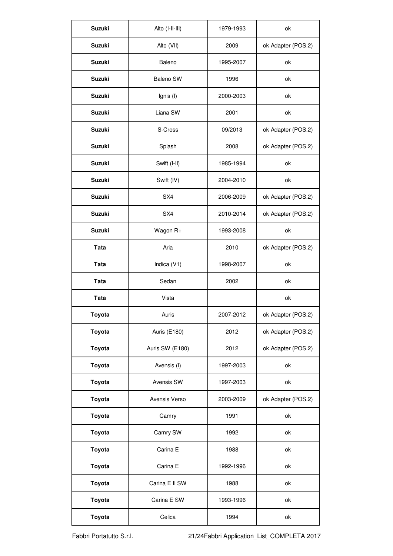| Suzuki | Alto (I-II-III) | 1979-1993 | ok                 |
|--------|-----------------|-----------|--------------------|
| Suzuki | Alto (VII)      | 2009      | ok Adapter (POS.2) |
| Suzuki | Baleno          | 1995-2007 | ok                 |
| Suzuki | Baleno SW       | 1996      | ok                 |
| Suzuki | Ignis (I)       | 2000-2003 | ok                 |
| Suzuki | Liana SW        | 2001      | ok                 |
| Suzuki | S-Cross         | 09/2013   | ok Adapter (POS.2) |
| Suzuki | Splash          | 2008      | ok Adapter (POS.2) |
| Suzuki | Swift (I-II)    | 1985-1994 | ok                 |
| Suzuki | Swift (IV)      | 2004-2010 | ok                 |
| Suzuki | SX4             | 2006-2009 | ok Adapter (POS.2) |
| Suzuki | SX4             | 2010-2014 | ok Adapter (POS.2) |
| Suzuki | Wagon R+        | 1993-2008 | ok                 |
| Tata   | Aria            | 2010      | ok Adapter (POS.2) |
| Tata   | Indica (V1)     | 1998-2007 | ok                 |
| Tata   | Sedan           | 2002      | ok                 |
| Tata   | Vista           |           | ok                 |
|        |                 |           |                    |
| Toyota | Auris           | 2007-2012 | ok Adapter (POS.2) |
| Toyota | Auris (E180)    | 2012      | ok Adapter (POS.2) |
| Toyota | Auris SW (E180) | 2012      | ok Adapter (POS.2) |
| Toyota | Avensis (I)     | 1997-2003 | ok                 |
| Toyota | Avensis SW      | 1997-2003 | ok                 |
| Toyota | Avensis Verso   | 2003-2009 | ok Adapter (POS.2) |
| Toyota | Camry           | 1991      | ok                 |
| Toyota | Camry SW        | 1992      | ok                 |
| Toyota | Carina E        | 1988      | ok                 |
| Toyota | Carina E        | 1992-1996 | ok                 |
| Toyota | Carina E II SW  | 1988      | ok                 |
| Toyota | Carina E SW     | 1993-1996 | ok                 |

Fabbri Portatutto S.r.l. 21/24Fabbri Application\_List\_COMPLETA 2017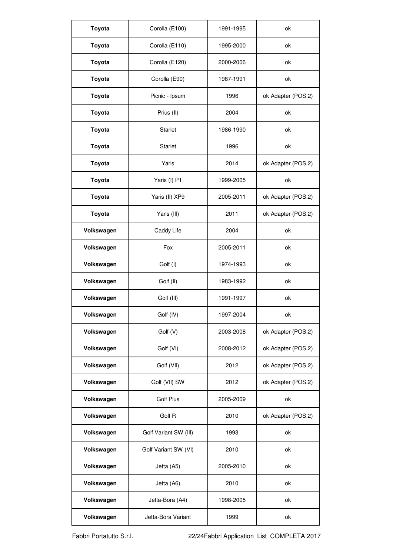| Toyota     | Corolla (E100)        | 1991-1995 | ok                 |
|------------|-----------------------|-----------|--------------------|
| Toyota     | Corolla (E110)        | 1995-2000 | ok                 |
| Toyota     | Corolla (E120)        | 2000-2006 | ok                 |
| Toyota     | Corolla (E90)         | 1987-1991 | ok                 |
| Toyota     | Picnic - Ipsum        | 1996      | ok Adapter (POS.2) |
| Toyota     | Prius (II)            | 2004      | ok                 |
| Toyota     | Starlet               | 1986-1990 | ok                 |
| Toyota     | Starlet               | 1996      | ok                 |
| Toyota     | Yaris                 | 2014      | ok Adapter (POS.2) |
| Toyota     | Yaris (I) P1          | 1999-2005 | ok                 |
| Toyota     | Yaris (II) XP9        | 2005-2011 | ok Adapter (POS.2) |
| Toyota     | Yaris (III)           | 2011      | ok Adapter (POS.2) |
| Volkswagen | Caddy Life            | 2004      | ok                 |
| Volkswagen | Fox                   | 2005-2011 | ok                 |
| Volkswagen | Golf (I)              | 1974-1993 | ok                 |
| Volkswagen | Golf (II)             | 1983-1992 | ok                 |
| Volkswagen | Golf (III)            | 1991-1997 | ok                 |
| Volkswagen | Golf (IV)             | 1997-2004 | ok                 |
| Volkswagen | Golf (V)              | 2003-2008 | ok Adapter (POS.2) |
| Volkswagen | Golf (VI)             | 2008-2012 | ok Adapter (POS.2) |
| Volkswagen | Golf (VII)            | 2012      | ok Adapter (POS.2) |
| Volkswagen | Golf (VII) SW         | 2012      | ok Adapter (POS.2) |
| Volkswagen | Golf Plus             | 2005-2009 | ok                 |
| Volkswagen | Golf R                | 2010      | ok Adapter (POS.2) |
| Volkswagen | Golf Variant SW (III) | 1993      | ok                 |
| Volkswagen | Golf Variant SW (VI)  | 2010      | ok                 |
| Volkswagen | Jetta (A5)            | 2005-2010 | ok                 |
| Volkswagen | Jetta (A6)            | 2010      | ok                 |
| Volkswagen | Jetta-Bora (A4)       | 1998-2005 | ok                 |
| Volkswagen | Jetta-Bora Variant    | 1999      | ok                 |

Fabbri Portatutto S.r.l. 22/24Fabbri Application\_List\_COMPLETA 2017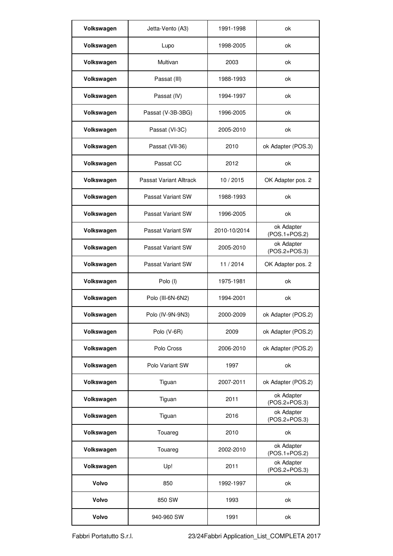| Volkswagen | Jetta-Vento (A3)        | 1991-1998    | ok                            |
|------------|-------------------------|--------------|-------------------------------|
| Volkswagen | Lupo                    | 1998-2005    | ok                            |
| Volkswagen | Multivan                | 2003         | ok                            |
| Volkswagen | Passat (III)            | 1988-1993    | ok                            |
| Volkswagen | Passat (IV)             | 1994-1997    | ok                            |
| Volkswagen | Passat (V-3B-3BG)       | 1996-2005    | ok                            |
| Volkswagen | Passat (VI-3C)          | 2005-2010    | ok                            |
| Volkswagen | Passat (VII-36)         | 2010         | ok Adapter (POS.3)            |
| Volkswagen | Passat CC               | 2012         | ok                            |
| Volkswagen | Passat Variant Alltrack | 10/2015      | OK Adapter pos. 2             |
| Volkswagen | Passat Variant SW       | 1988-1993    | ok                            |
| Volkswagen | Passat Variant SW       | 1996-2005    | ok                            |
| Volkswagen | Passat Variant SW       | 2010-10/2014 | ok Adapter<br>$(POS.1+POS.2)$ |
| Volkswagen | Passat Variant SW       | 2005-2010    | ok Adapter<br>(POS.2+POS.3)   |
| Volkswagen | Passat Variant SW       | 11/2014      | OK Adapter pos. 2             |
| Volkswagen | Polo (I)                | 1975-1981    | ok                            |
| Volkswagen | Polo (III-6N-6N2)       | 1994-2001    | ok                            |
| Volkswagen | Polo (IV-9N-9N3)        | 2000-2009    | ok Adapter (POS.2)            |
| Volkswagen | Polo (V-6R)             | 2009         | ok Adapter (POS.2)            |
| Volkswagen | Polo Cross              | 2006-2010    | ok Adapter (POS.2)            |
| Volkswagen | Polo Variant SW         | 1997         | ok                            |
| Volkswagen | Tiguan                  | 2007-2011    | ok Adapter (POS.2)            |
| Volkswagen | Tiguan                  | 2011         | ok Adapter<br>(POS.2+POS.3)   |
| Volkswagen | Tiguan                  | 2016         | ok Adapter<br>(POS.2+POS.3)   |
| Volkswagen | Touareg                 | 2010         | ok                            |
| Volkswagen | Touareg                 | 2002-2010    | ok Adapter<br>(POS.1+POS.2)   |
| Volkswagen | Up!                     | 2011         | ok Adapter<br>(POS.2+POS.3)   |
| Volvo      | 850                     | 1992-1997    | ok                            |
| Volvo      | 850 SW                  | 1993         | ok                            |
| Volvo      | 940-960 SW              | 1991         | ok                            |

Fabbri Portatutto S.r.l. 23/24Fabbri Application\_List\_COMPLETA 2017